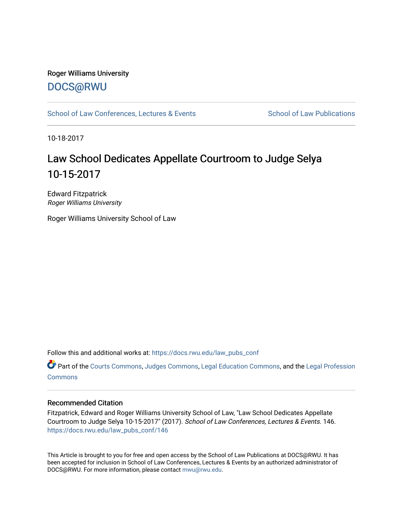## Roger Williams University [DOCS@RWU](https://docs.rwu.edu/)

[School of Law Conferences, Lectures & Events](https://docs.rwu.edu/law_pubs_conf) School of Law Publications

10-18-2017

## Law School Dedicates Appellate Courtroom to Judge Selya 10-15-2017

Edward Fitzpatrick Roger Williams University

Roger Williams University School of Law

Follow this and additional works at: [https://docs.rwu.edu/law\\_pubs\\_conf](https://docs.rwu.edu/law_pubs_conf?utm_source=docs.rwu.edu%2Flaw_pubs_conf%2F146&utm_medium=PDF&utm_campaign=PDFCoverPages) 

Part of the [Courts Commons,](http://network.bepress.com/hgg/discipline/839?utm_source=docs.rwu.edu%2Flaw_pubs_conf%2F146&utm_medium=PDF&utm_campaign=PDFCoverPages) [Judges Commons](http://network.bepress.com/hgg/discipline/849?utm_source=docs.rwu.edu%2Flaw_pubs_conf%2F146&utm_medium=PDF&utm_campaign=PDFCoverPages), [Legal Education Commons](http://network.bepress.com/hgg/discipline/857?utm_source=docs.rwu.edu%2Flaw_pubs_conf%2F146&utm_medium=PDF&utm_campaign=PDFCoverPages), and the [Legal Profession](http://network.bepress.com/hgg/discipline/1075?utm_source=docs.rwu.edu%2Flaw_pubs_conf%2F146&utm_medium=PDF&utm_campaign=PDFCoverPages)  **[Commons](http://network.bepress.com/hgg/discipline/1075?utm_source=docs.rwu.edu%2Flaw_pubs_conf%2F146&utm_medium=PDF&utm_campaign=PDFCoverPages)** 

## Recommended Citation

Fitzpatrick, Edward and Roger Williams University School of Law, "Law School Dedicates Appellate Courtroom to Judge Selya 10-15-2017" (2017). School of Law Conferences, Lectures & Events. 146. [https://docs.rwu.edu/law\\_pubs\\_conf/146](https://docs.rwu.edu/law_pubs_conf/146?utm_source=docs.rwu.edu%2Flaw_pubs_conf%2F146&utm_medium=PDF&utm_campaign=PDFCoverPages) 

This Article is brought to you for free and open access by the School of Law Publications at DOCS@RWU. It has been accepted for inclusion in School of Law Conferences, Lectures & Events by an authorized administrator of DOCS@RWU. For more information, please contact [mwu@rwu.edu.](mailto:mwu@rwu.edu)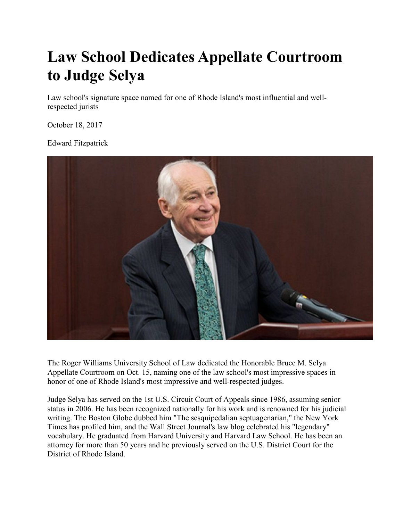## **Law School Dedicates Appellate Courtroom to Judge Selya**

Law school's signature space named for one of Rhode Island's most influential and wellrespected jurists

October 18, 2017

Edward Fitzpatrick



The Roger Williams University School of Law dedicated the Honorable Bruce M. Selya Appellate Courtroom on Oct. 15, naming one of the law school's most impressive spaces in honor of one of Rhode Island's most impressive and well-respected judges.

Judge Selya has served on the 1st U.S. Circuit Court of Appeals since 1986, assuming senior status in 2006. He has been recognized nationally for his work and is renowned for his judicial writing. The Boston Globe dubbed him "The sesquipedalian septuagenarian," the New York Times has profiled him, and the Wall Street Journal's law blog celebrated his "legendary" vocabulary. He graduated from Harvard University and Harvard Law School. He has been an attorney for more than 50 years and he previously served on the U.S. District Court for the District of Rhode Island.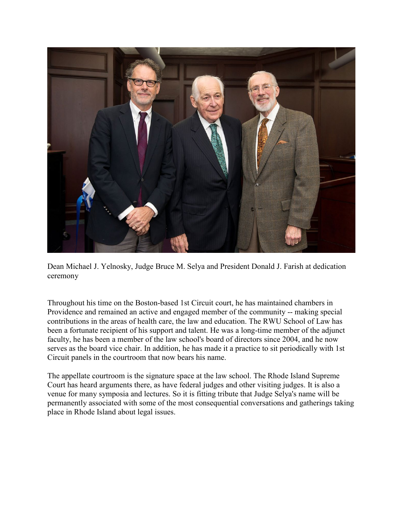

Dean Michael J. Yelnosky, Judge Bruce M. Selya and President Donald J. Farish at dedication ceremony

Throughout his time on the Boston-based 1st Circuit court, he has maintained chambers in Providence and remained an active and engaged member of the community -- making special contributions in the areas of health care, the law and education. The RWU School of Law has been a fortunate recipient of his support and talent. He was a long-time member of the adjunct faculty, he has been a member of the law school's board of directors since 2004, and he now serves as the board vice chair. In addition, he has made it a practice to sit periodically with 1st Circuit panels in the courtroom that now bears his name.

The appellate courtroom is the signature space at the law school. The Rhode Island Supreme Court has heard arguments there, as have federal judges and other visiting judges. It is also a venue for many symposia and lectures. So it is fitting tribute that Judge Selya's name will be permanently associated with some of the most consequential conversations and gatherings taking place in Rhode Island about legal issues.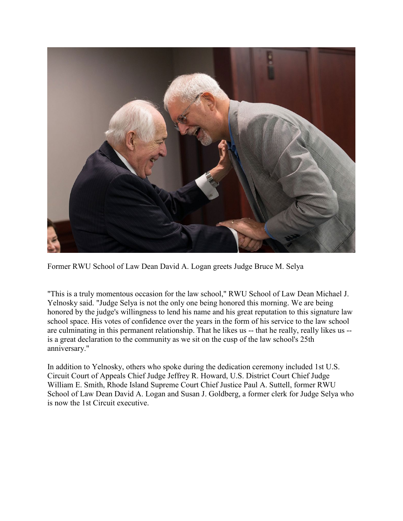

Former RWU School of Law Dean David A. Logan greets Judge Bruce M. Selya

"This is a truly momentous occasion for the law school," RWU School of Law Dean Michael J. Yelnosky said. "Judge Selya is not the only one being honored this morning. We are being honored by the judge's willingness to lend his name and his great reputation to this signature law school space. His votes of confidence over the years in the form of his service to the law school are culminating in this permanent relationship. That he likes us -- that he really, really likes us -is a great declaration to the community as we sit on the cusp of the law school's 25th anniversary."

In addition to Yelnosky, others who spoke during the dedication ceremony included 1st U.S. Circuit Court of Appeals Chief Judge Jeffrey R. Howard, U.S. District Court Chief Judge William E. Smith, Rhode Island Supreme Court Chief Justice Paul A. Suttell, former RWU School of Law Dean David A. Logan and Susan J. Goldberg, a former clerk for Judge Selya who is now the 1st Circuit executive.